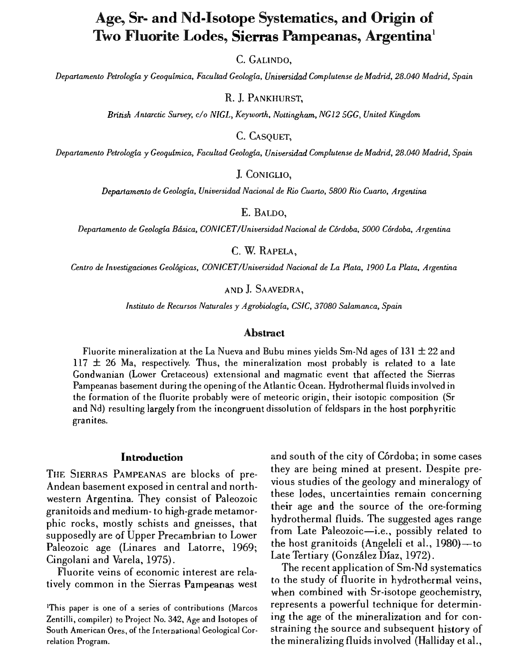# Age, Sr- and Nd-Isotope Systematics, and Origin of Two Fluorite Lodes, Sierras Pampeanas, Argentina<sup>1</sup>

C. GALINDO.

Departamento Petrología y Geoquímica, Facultad Geología, Universidad Complutense de Madrid, 28.040 Madrid, Spain

R. I. PANKHURST.

British Antarctic Survey, c/o NIGL, Keyworth, Nottingham, NG12 5GG, United Kingdom

C. CASOUET.

Departamento Petrología y Geoguímica, Facultad Geología, Universidad Complutense de Madrid, 28.040 Madrid, Spain

I. CONIGLIO.

Departamento de Geología, Universidad Nacional de Rio Cuarto, 5800 Rio Cuarto, Argentina

E. BALDO.

Departamento de Geología Básica, CONICET/Universidad Nacional de Córdoba, 5000 Córdoba, Argentina

C. W. RAPELA.

Centro de Investigaciones Geológicas, CONICET/Universidad Nacional de La Plata, 1900 La Plata, Argentina

# AND J. SAAVEDRA.

Instituto de Recursos Naturales y Agrobiología, CSIC, 37080 Salamanca, Spain

#### **Abstract**

Fluorite mineralization at the La Nueva and Bubu mines yields Sm-Nd ages of  $131 \pm 22$  and  $117 \pm 26$  Ma, respectively. Thus, the mineralization most probably is related to a late Gondwanian (Lower Cretaceous) extensional and magmatic event that affected the Sierras Pampeanas basement during the opening of the Atlantic Ocean. Hydrothermal fluids involved in the formation of the fluorite probably were of meteoric origin, their isotopic composition (Sr and Nd) resulting largely from the incongruent dissolution of feldspars in the host porphyritic granites.

#### **Introduction**

THE SIERRAS PAMPEANAS are blocks of pre-Andean basement exposed in central and northwestern Argentina. They consist of Paleozoic granitoids and medium-to high-grade metamorphic rocks, mostly schists and gneisses, that supposedly are of Upper Precambrian to Lower Paleozoic age (Linares and Latorre, 1969; Cingolani and Varela, 1975).

Fluorite veins of economic interest are relatively common in the Sierras Pampeanas west

and south of the city of Córdoba; in some cases they are being mined at present. Despite previous studies of the geology and mineralogy of these lodes, uncertainties remain concerning their age and the source of the ore-forming hydrothermal fluids. The suggested ages range from Late Paleozoic-i.e., possibly related to the host granitoids (Angeleli et al.,  $1980$ )  $-$ to Late Tertiary (González Díaz, 1972).

The recent application of Sm-Nd systematics to the study of fluorite in hydrothermal veins, when combined with Sr-isotope geochemistry, represents a powerful technique for determining the age of the mineralization and for constraining the source and subsequent history of the mineralizing fluids involved (Halliday et al.,

<sup>&</sup>lt;sup>1</sup>This paper is one of a series of contributions (Marcos Zentilli, compiler) to Project No. 342, Age and Isotopes of South American Ores, of the International Geological Correlation Program.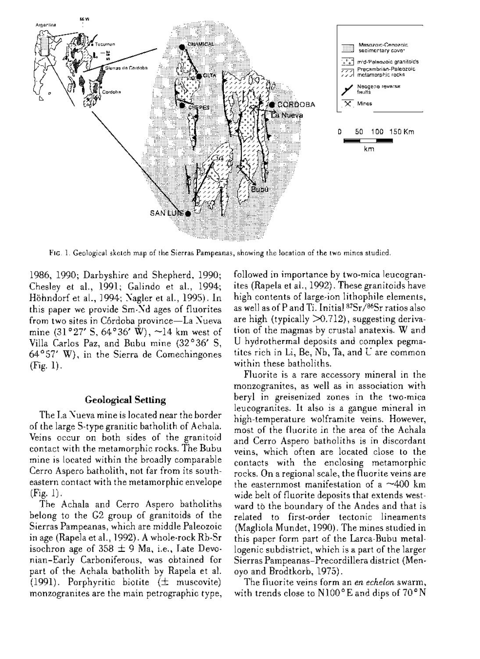

FIG. 1. Geological sketch map of the Sierras Pampeanas, showing the location of the two mines studied.

1986, 1990; Darbyshire and Shepherd, 1990; Chesley et al., 1991; Galindo et al., 1994; Höhndorf et al., 1994; Nagler et al., 1995). In this paper we provide Sm-Nd ages of fluorites from two sites in Córdoba province-La Nueva mine  $(31°27' S, 64°36' W), \sim 14$  km west of Villa Carlos Paz, and Bubu mine (32°36' S,  $64^{\circ}57'$  W), in the Sierra de Comechingones  $(Fig. 1).$ 

### **Geological Setting**

The La Nueva mine is located near the border of the large S-type granitic batholith of Achala. Veins occur on both sides of the granitoid contact with the metamorphic rocks. The Bubu mine is located within the broadly comparable Cerro Aspero batholith, not far from its southeastern contact with the metamorphic envelope  $(Fig. 1).$ 

The Achala and Cerro Aspero batholiths belong to the G2 group of granitoids of the Sierras Pampeanas, which are middle Paleozoic in age (Rapela et al., 1992). A whole-rock Rb-Sr isochron age of  $358 \pm 9$  Ma, i.e., Late Devonian-Early Carboniferous, was obtained for part of the Achala batholith by Rapela et al. (1991). Porphyritic biotite  $(\pm$  muscovite) monzogranites are the main petrographic type, followed in importance by two-mica leucogranites (Rapela et al., 1992). These granitoids have high contents of large-ion lithophile elements, as well as of P and Ti. Initial <sup>87</sup>Sr/<sup>86</sup>Sr ratios also are high (typically  $>0.712$ ), suggesting derivation of the magmas by crustal anatexis. W and U hydrothermal deposits and complex pegmatites rich in Li, Be, Nb, Ta, and U are common within these batholiths.

Fluorite is a rare accessory mineral in the monzogranites, as well as in association with beryl in greisenized zones in the two-mica leucogranites. It also is a gangue mineral in high-temperature wolframite veins. However, most of the fluorite in the area of the Achala and Cerro Aspero batholiths is in discordant veins, which often are located close to the contacts with the enclosing metamorphic rocks. On a regional scale, the fluorite veins are the easternmost manifestation of a  $\sim$ 400 km wide belt of fluorite deposits that extends westward to the boundary of the Andes and that is related to first-order tectonic lineaments (Magliola Mundet, 1990). The mines studied in this paper form part of the Larca-Bubu metallogenic subdistrict, which is a part of the larger Sierras Pampeanas-Precordillera district (Menoyo and Brodtkorb, 1975).

The fluorite veins form an en echelon swarm, with trends close to N100°E and dips of 70°N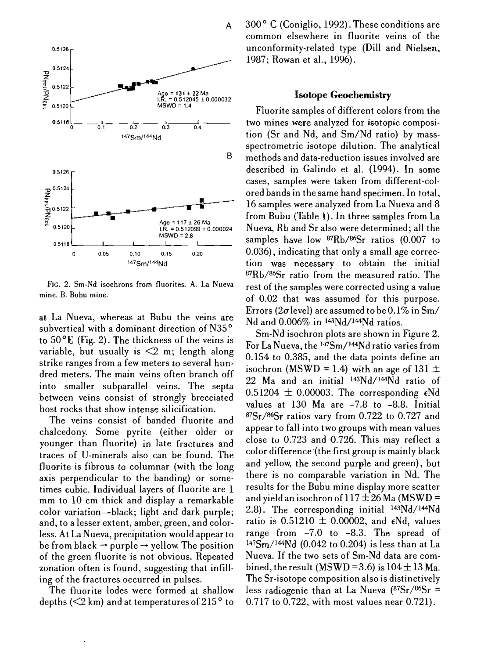

FIG. 2. Sm-Nd isochrons from fluorites. A. La Nueva mine. B. Bubu mine.

at La Nueva, whereas at Bubu the veins are subvertical with a dominant direction of N35<sup>°</sup> to  $50^{\circ}$ E (Fig. 2). The thickness of the veins is variable, but usually is  $\leq 2$  m; length along strike ranges from a few meters to several hundred meters. The main veins often branch off into smaller subparallel veins. The septa between veins consist of strongly brecciated host rocks that show intense silicification.

The veins consist of banded fluorite and chalcedony. Some pyrite (either older or younger than fluorite) in late fractures and traces of U-minerals also can be found. The fluorite is fibrous to columnar (with the long axis perpendicular to the banding) or sometimes cubic. Individual layers of fluorite are 1 mm to 10 cm thick and display a remarkable eoIor variation-blaek; light and dark purple; and, to a lesser extent, amber, green, and colorless. At La Nueva, precipitation would appear to be from black  $\rightarrow$  purple  $\rightarrow$  yellow. The position of the green fluorite is not obvious. Repeated zonation often is found, suggesting that infilIing of the fractures occurred in pulses.

The fluorite lodes werc formed at shallow depths ( $\leq$ 2 km) and at temperatures of 215 $\degree$  to 300<sup>°</sup> C (Coniglio, 1992). These conditions are common elsewhere in fluorite veins of the unconformity-related type (Dill and Nielsen, 1987; Rowan et al., 1996).

# **Isotope Geochemistry**

Fluorite samples of different colors from the two mines were analyzed for isotopic composition (Sr and Nd, and Sm/Nd ratio) by massspectrometrie isotope dilution. The analytical methods and data-reduction issues involved are described in Galindo et al. (1994). In some cases, samples were taken from different-colored bands in the same hand specimen. In 16 samples were analyzed from La Nueva and 8 from Bubu (Table 1). In three samples from La Nueva, Rb and Sr also were determined; all the samples have low  $Rb/86$ Sr ratios (0.007 to 0.036), indicating that only a small age correction necessary to obtain the initial  $87Rb/86Sr$  ratio from the measured ratio. The rest of the samples were corrected using a value of 0.02 that was assumed for this purpose. Errors (2 $\sigma$  level) are assumed to be 0.1% in Sm/ Nd and  $0.006\%$  in  $143Nd/144Nd$  ratios.

Sm-Nd isochron plots are shown in Figure 2. For La Nueva, the 147Sm/144Nd ratio varies from 0.154 to 0.385, and the data points define an isochron (MSWD = 1.4) with an age of 131  $\pm$ 22 Ma and an initial 143Nd/144Nd ratio of 0.51204  $\pm$  0.00003. The corresponding  $\epsilon$ Nd values at 130 Ma are -7.8 to -8.8. Initial  $87Sr/86Sr$  ratios vary from 0.722 to 0.727 and appear to fall into two groups with mean values close to  $0.723$  and  $0.726$ . This may reflect a color difference (the first group is mainly black and yellow, the second purple and green), but there is no comparable variation in Nd. The results for the Bubu mine display more scatter and yield an isochron of  $117 \pm 26$  Ma (MSWD = 2.8). The corresponding initial 143Nd/I44Nd ratio is  $0.51210 \pm 0.00002$ , and  $\epsilon \text{Nd}_t$  values range from -7.0 to -8.3. The spread of  $147Sm^{144}Nd$  (0.042 to 0.204) is less than at La Nueva. If the two sets of Sm-Nd data are combined, the result (MSWD = 3.6) is  $104 \pm 13$  Ma. The Sr-isotope composition also is distinctively less radiogenic than at La Nueva  $(^{87}Sr/^{86}Sr =$ 0.717 to 0.722, with most values near 0.721).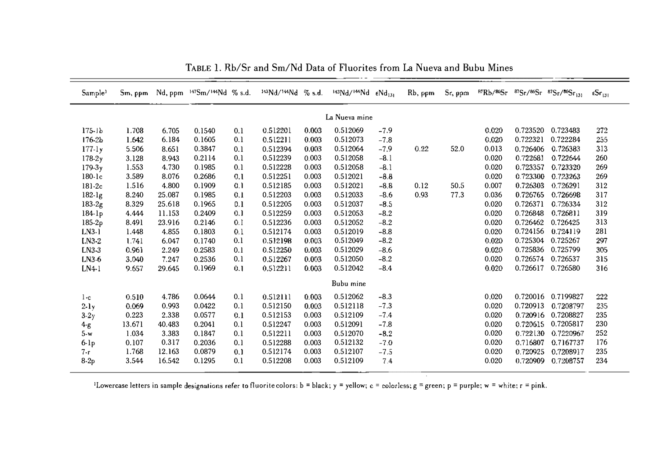| Sample <sup>1</sup> | Sm, ppm |        | Nd, ppm 147Sm/144Nd % s.d. |     | 143Nd/144Nd | $%$ s.d. | 143Nd/144Nd | $\epsilon$ Nd <sub>131</sub> | $Rb$ , ppm | Sr, ppm |       |          | ${}^{87}Rb/{}^{86}Sr$ ${}^{87}Sr/{}^{86}Sr$ ${}^{87}Sr/{}^{86}Sr$ <sub>131</sub> | $\epsilon$ Sr $_{131}$ |
|---------------------|---------|--------|----------------------------|-----|-------------|----------|-------------|------------------------------|------------|---------|-------|----------|----------------------------------------------------------------------------------|------------------------|
| La Nueva mine       |         |        |                            |     |             |          |             |                              |            |         |       |          |                                                                                  |                        |
| $175 - 1b$          | 1.708   | 6.705  | 0.1540                     | 0.1 | 0.512201    | 0.003    | 0.512069    | $-7.9$                       |            |         | 0.020 | 0.723520 | 0.723483                                                                         | 272                    |
| $176-2b$            | 1.642   | 6.184  | 0.1605                     | 0.1 | 0.512211    | 0.003    | 0.512073    | $-7.8$                       |            |         | 0.020 | 0.722321 | 0.722284                                                                         | 255                    |
| $177-1y$            | 5.506   | 8.651  | 0.3847                     | 0.1 | 0.512394    | 0.003    | 0.512064    | $-7.9$                       | 0.22       | 52.0    | 0.013 | 0.726406 | 0.726383                                                                         | 313                    |
| $178-2y$            | 3.128   | 8.943  | 0.2114                     | 0.1 | 0.512239    | 0.003    | 0.512058    | $-8.1$                       |            |         | 0.020 | 0.722681 | 0.722644                                                                         | 260                    |
| $179-3y$            | 1.553   | 4.730  | 0.1985                     | 0.1 | 0.512228    | 0.003    | 0.512058    | $-8.1$                       |            |         | 0.020 | 0.723357 | 0.723320                                                                         | 269                    |
| $180 - 1c$          | 3.589   | 8.076  | 0.2686                     | 0.1 | 0.512251    | 0.003    | 0.512021    | $-8.8$                       |            |         | 0.020 | 0.723300 | 0.723263                                                                         | 269                    |
| $181-2c$            | 1.516   | 4.800  | 0.1909                     | 0.1 | 0.512185    | 0.003    | 0.512021    | $-8.8$                       | 0.12       | 50.5    | 0.007 | 0.726303 | 0.726291                                                                         | 312                    |
| $182-1g$            | 8.240   | 25.087 | 0.1985                     | 0.1 | 0.512203    | 0.003    | 0.512033    | $-8.6$                       | 0.93       | 77.3    | 0.036 | 0.726765 | 0.726698                                                                         | 317                    |
| $183-2g$            | 8.329   | 25.618 | 0.1965                     | 0.1 | 0.512205    | 0.003    | 0.512037    | $-8.5$                       |            |         | 0.020 | 0.726371 | 0.726334                                                                         | 312                    |
| $184 - 1p$          | 4.444   | 11.153 | 0.2409                     | 0.1 | 0.512259    | 0.003    | 0.512053    | $-8.2$                       |            |         | 0.020 | 0.726848 | 0.726811                                                                         | 319                    |
| 185-2p              | 8.491   | 23.916 | 0.2146                     | 0.1 | 0.512236    | 0.003    | 0.512052    | $-8.2$                       |            |         | 0.020 | 0.726462 | 0.726425                                                                         | 313                    |
| $LN3-1$             | 1.448   | 4.855  | 0.1803                     | 0.1 | 0.512174    | 0.003    | 0.512019    | $-8.8$                       |            |         | 0.020 | 0.724156 | 0.724119                                                                         | 281                    |
| $LN3-2$             | 1.741   | 6.047  | 0.1740                     | 0.1 | 0.512198    | 0.003    | 0.512049    | $-8.2$                       |            |         | 0.020 | 0.725304 | 0.725267                                                                         | 297                    |
| LN3-3               | 0.961   | 2.249  | 0.2583                     | 0.1 | 0.512250    | 0.003    | 0.512029    | $-8.6$                       |            |         | 0.020 | 0.725836 | 0.725799                                                                         | 305                    |
| $LN3-6$             | 3.040   | 7.247  | 0.2536                     | 0.1 | 0.512267    | 0.003    | 0.512050    | $-8.2$                       |            |         | 0.020 | 0.726574 | 0.726537                                                                         | 315                    |
| $LN4-1$             | 9.657   | 29.645 | 0.1969                     | 0.1 | 0.512211    | 0.003    | 0.512042    | $-8.4$                       |            |         | 0.020 | 0.726617 | 0.726580                                                                         | 316                    |
| Bubu mine           |         |        |                            |     |             |          |             |                              |            |         |       |          |                                                                                  |                        |
| $1-c$               | 0.510   | 4.786  | 0.0644                     | 0.1 | 0.512111    | 0.003    | 0.512062    | $-8.3$                       |            |         | 0.020 | 0.720016 | 0.7199827                                                                        | 222                    |
| $2-1y$              | 0.069   | 0.993  | 0.0422                     | 0.1 | 0.512150    | 0.003    | 0.512118    | $-7.3$                       |            |         | 0.020 | 0.720913 | 0.7208797                                                                        | 235                    |
| $3-2y$              | 0.223   | 2.338  | 0.0577                     | 0.1 | 0.512153    | 0.003    | 0.512109    | $-7.4$                       |            |         | 0.020 | 0.720916 | 0.7208827                                                                        | 235                    |
| $4 - g$             | 13.671  | 40.483 | 0.2041                     | 0.1 | 0.512247    | 0.003    | 0.512091    | $-7.8$                       |            |         | 0.020 | 0.720615 | 0.7205817                                                                        | 230                    |
| $5-w$               | 1.034   | 3.383  | 0.1847                     | 0.1 | 0.512211    | 0.003    | 0.512070    | $-8.2$                       |            |         | 0.020 | 0.722130 | 0.7220967                                                                        | 252                    |
| $6 - lp$            | 0.107   | 0.317  | 0.2036                     | 0.1 | 0.512288    | 0.003    | 0.512132    | $-7.0$                       |            |         | 0.020 | 0.716807 | 0.7167737                                                                        | 176                    |
| 7-г                 | 1.768   | 12.163 | 0.0879                     | 0.1 | 0.512174    | 0.003    | 0.512107    | $-7.5$                       |            |         | 0.020 | 0.720925 | 0.7208917                                                                        | 235                    |
| $8-2p$              | 3.544   | 16.542 | 0.1295                     | 0.1 | 0.512208    | 0.003    | 0.512109    | 7.4                          |            |         | 0.020 | 0.720909 | 0.7208757                                                                        | 234                    |

TABLE 1. Rb/Sr and Sm/Nd Data of Fluorites from La Nueva and Bubu Mines

ILowercase letters in sample designations refer to fluorite colors: b = black;  $y =$  yellow; c = colorless; g = green; p = purple; w = white; r = pink.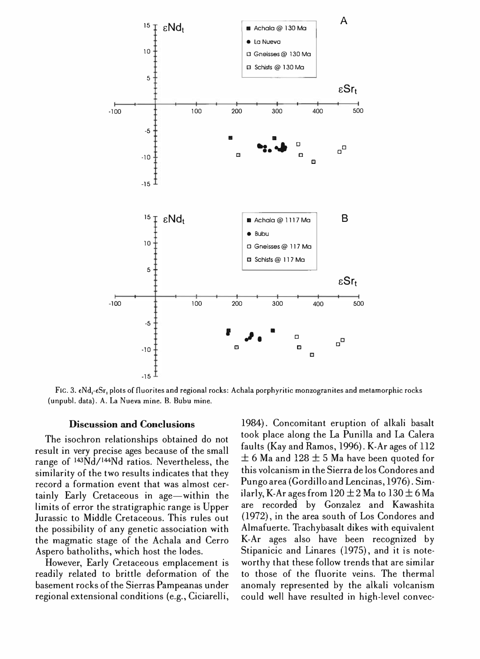

FIG. 3. eNd.-eSr. plots of fluorites and regional rocks: Achala porphyritic monzogranites and metamorphic rocks (unpubl. data). A. La Nueva mine. B. Bubu mine.

#### Discussion and Conclusions

The isochron relationships obtained do not result in very precise ages because of the small range of 143Nd/!44Nd ratios. Nevertheless, the similarity of the two results indicates that they record a formation event that was almost certainly Early Cretaceous in age-within the limits of error the stratigraphic range is Upper lurassic to Middle Cretaceous. This rules out the possibility of any genetic association with the magmatic stage of the Achala and Cerro Aspero batholiths, which host the lodes.

However, Early Cretaceous emplacement is readily related to brittle deformation of the basement rocks of the Sierras Pampeanas under regional extensional conditions (e.g., Ciciarelli,

1984). Concomitant eruption of alkali basalt took place along the La Punilla and La Calera faults (Kay and Ramos, 1996). K-Ar ages of 112  $\pm$  6 Ma and 128  $\pm$  5 Ma have been quoted for this volcanism in the Sierra de los Condores and Pungo area (Gordillo and Lencinas, 1976). Similarly, K-Ar ages from  $120 \pm 2$  Ma to  $130 \pm 6$  Ma are recorded' by Gonzalez and Kawashita  $(1972)$ , in the area south of Los Condores and Almafuerte. Trachybasalt dikes with equivalent K-Ar ages also have been recognized by Stipanicic and Linares (1975), and it is noteworthy that these follow trends that are similar to those of the fluorite veins. The thermal anomaly represented by the alkali volcanism could well have resulted in high-level convec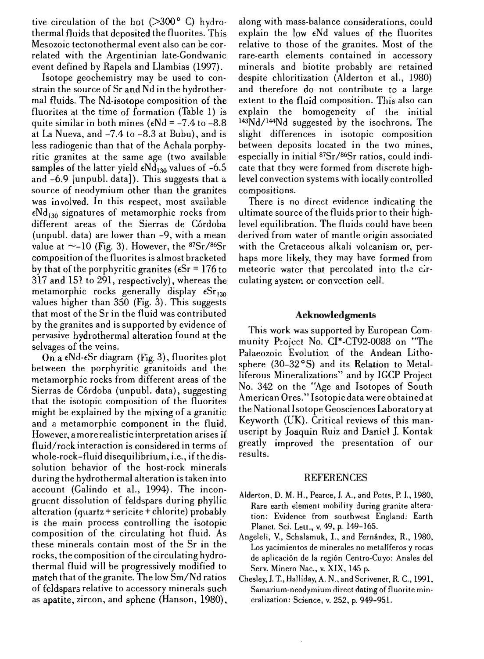tive circulation of the hot  $(>300^{\circ} \text{ C})$  hydrothermal fluids that deposited the fluorites. This Mesozoic tectonothermal event also can be correlated with the Argentinian late-Gondwanic event defined by Rapela and Llambias (1997).

Isotope geochemistry may be used to constrain the source of Sr and Nd in the hydrothermal fluids. The Nd-isotope composition of the fluorites at the time of formation (Table 1) is quite similar in both mines ( $\epsilon$ Nd = -7.4 to -8.8 at La Nueva, and -7.4 to -8.3 at Bubu), and is less radiogenic than that of the Achala porphyritic granites at the same age (two available samples of the latter yield  $\epsilon Nd_{130}$  values of -6.5 and  $-6.9$  [unpubl. data]). This suggests that a source of neodymium other than the granites was involved. In this respect, most available  $\epsilon$ Nd<sub>130</sub> signatures of metamorphic rocks from different areas of the Sierras de Córdoba (unpubl. data) are lower than -9, with a mean value at  $\sim$ -10 (Fig. 3). However, the  $87Sr/86Sr$ composition of the fluorites is almost bracketed by that of the porphyritic granites ( $\epsilon Sr = 176$  to  $317$  and  $151$  to  $291$ , respectively), whereas the metamorphic rocks generally display  $\epsilon Sr_{130}$ values higher than 350 (Fig. 3). This suggests that most of the Sr in the fluid was contributed by the granites and is supported by evidence of pervasive hydrothermal alteration found selvages of the veins.

On a  $\epsilon$ Nd- $\epsilon$ Sr diagram (Fig. 3), fluorites plot between the porphyritie granitoids and the metamorphic rocks from different areas of the Sierras de Córdoba (unpubl. data), suggesting that the isotopic composition of the fluorites might he explained by the mixing of a granitic and a metamorphic component in the fluid. However, a more realistic interpretation arises if fluid/rock interaction is considered in terms of whole-rock-fluid disequilibrium, i.e., if the dissolution behavior of the host-rock minerals during the hydrothermal alteration is taken into account (Galindo et aI., 1994). The incongruent dissolution of feldspars during phyllic alteration (quartz + sericite + chlorite) probably is the main process controlling the isotopic composition of the circulating hot fluid. As these minerals contain most of the Sr in the rocks, the composition of the circulating hydrothermal fluid will be progressively modified to mateh that of the granite. The low Sm/Nd ratios of feldspars relative to accessory minerals such as apatite, zircon, and sphene (Hanson, 1980), along with mass-balance considerations, could explain the low  $\epsilon$ Nd values of the fluorites relative to those of the granites. Most of the rare-earth elements contained in accessory minerals and biotite probably are retained despite chloritization (Alderton et aI., 1980) and therefore do not contribute to a large extent to the fluid composition. This also can explain the homogeneity of the initial 14 3Nd/144Nd suggested by the isochrons. The slight differences in isotopic composition between deposits located in the two mines, especially in initial 87Sr/86Sr ratios, could indicate that they were formed from discrete highlevel convection systems with locally controlled compositions.

There is no direct evidence indicating the ultimate source of the fluids prior to their highlevel equilibration. The fluids could have been derived from water of mantle origin associated with the Cretaceous alkali volcanism or, perhaps more likely, they may have formed from meteoric water that percolated into the circulating system or convection cell.

# Acknowledgments

This work was supported by European Community Project No. CI\*-CT92-0088 on "The Palaeozoic Evolution of the Andean Lithosphere  $(30-32)$  and its Relation to Metalliferous Mineralizations" and by IGCP Project No. 342 on the "Age and Isotopes of South American Ores." Isotopic data were obtained at the National Isotope Geosciences Laboratory at Keyworth  $(UK)$ . Critical reviews of this manuscript by Joaquin Ruiz and Daniel J. Kontak greatly improved the presentation of our results.

### **REFERENCES**

- Alderton, D. M. H., Pearce, J. A., and Potts, P. J., 1980, Rare earth element mobility during granite alteration: Evidence from southwest England: Earth Planet. Sci. Lett., v. 49, p. 149-165.
- Angeleli, V., Schalamuk, I., and Fernández, R., 1980, Los yacimientos de minerales no metaliferos y rocas de aplicacion de la region Centro-Cuyo: Anales del Serv. Minero Nac., v, XIX, 145 p.
- Chesley, J. T., Halliday, A. N., and Scrivener, R. C., 1991, Samarium-neodymium direct dating of fluorite mineralization: Science, v. 252, p. 949-951.